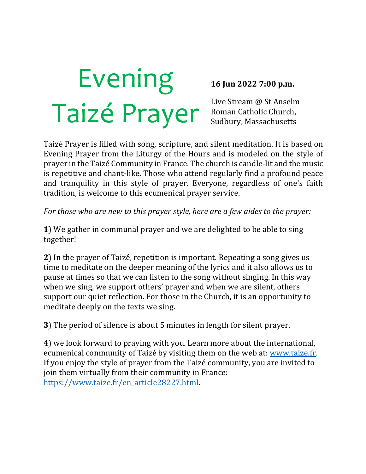# Evening Taizé Prayer

#### **16 Jun 2022 7:00 p.m.**

Live Stream @ St Anselm Roman Catholic Church, Sudbury, Massachusetts

Taizé Prayer is filled with song, scripture, and silent meditation. It is based on Evening Prayer from the Liturgy of the Hours and is modeled on the style of prayer in the Taizé Community in France. The church is candle-lit and the music is repetitive and chant-like. Those who attend regularly find a profound peace and tranquility in this style of prayer. Everyone, regardless of one's faith tradition, is welcome to this ecumenical prayer service.

*For those who are new to this prayer style, here are a few aides to the prayer:* 

**1**) We gather in communal prayer and we are delighted to be able to sing together!

**2**) In the prayer of Taizé, repetition is important. Repeating a song gives us time to meditate on the deeper meaning of the lyrics and it also allows us to pause at times so that we can listen to the song without singing. In this way when we sing, we support others' prayer and when we are silent, others support our quiet reflection. For those in the Church, it is an opportunity to meditate deeply on the texts we sing.

**3**) The period of silence is about 5 minutes in length for silent prayer.

**4**) we look forward to praying with you. Learn more about the international, ecumenical community of Taizé by visiting them on the web at: www.taize.fr. If you enjoy the style of prayer from the Taizé community, you are invited to join them virtually from their community in France: https://www.taize.fr/en\_article28227.html.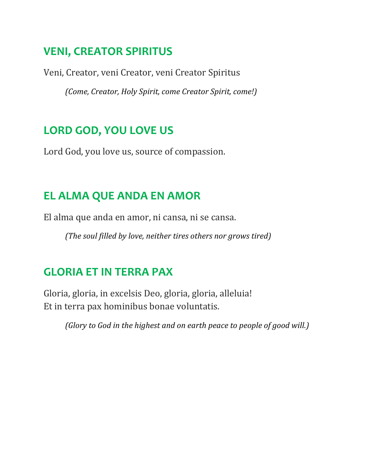#### **VENI, CREATOR SPIRITUS**

Veni, Creator, veni Creator, veni Creator Spiritus

*(Come, Creator, Holy Spirit, come Creator Spirit, come!)*

### **LORD GOD, YOU LOVE US**

Lord God, you love us, source of compassion.

## **EL ALMA QUE ANDA EN AMOR**

El alma que anda en amor, ni cansa, ni se cansa.

*(The soul filled by love, neither tires others nor grows tired)* 

## **GLORIA ET IN TERRA PAX**

Gloria, gloria, in excelsis Deo, gloria, gloria, alleluia! Et in terra pax hominibus bonae voluntatis.

*(Glory to God in the highest and on earth peace to people of good will.)*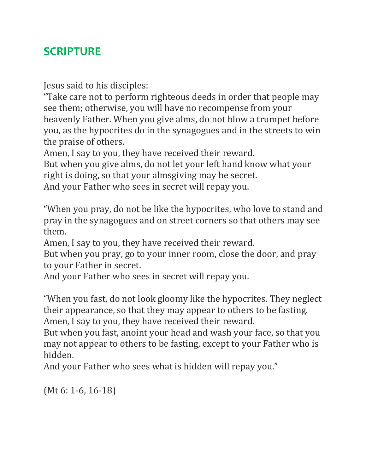### **SCRIPTURE**

Jesus said to his disciples:

"Take care not to perform righteous deeds in order that people may see them; otherwise, you will have no recompense from your heavenly Father. When you give alms, do not blow a trumpet before you, as the hypocrites do in the synagogues and in the streets to win the praise of others.

Amen, I say to you, they have received their reward.

But when you give alms, do not let your left hand know what your right is doing, so that your almsgiving may be secret.

And your Father who sees in secret will repay you.

"When you pray, do not be like the hypocrites, who love to stand and pray in the synagogues and on street corners so that others may see them.

Amen, I say to you, they have received their reward.

But when you pray, go to your inner room, close the door, and pray to your Father in secret.

And your Father who sees in secret will repay you.

"When you fast, do not look gloomy like the hypocrites. They neglect their appearance, so that they may appear to others to be fasting. Amen, I say to you, they have received their reward.

But when you fast, anoint your head and wash your face, so that you may not appear to others to be fasting, except to your Father who is hidden.

And your Father who sees what is hidden will repay you."

(Mt 6: 1-6, 16-18)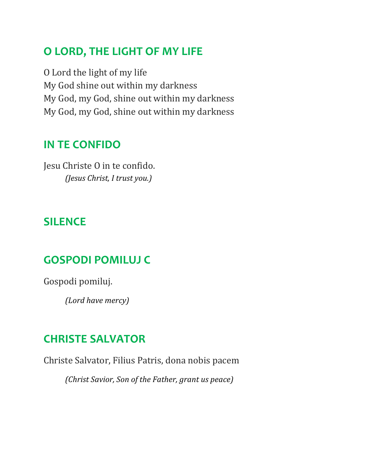### **O LORD, THE LIGHT OF MY LIFE**

O Lord the light of my life My God shine out within my darkness My God, my God, shine out within my darkness My God, my God, shine out within my darkness

#### **IN TE CONFIDO**

Jesu Christe O in te confido. *(Jesus Christ, I trust you.)*

#### **SILENCE**

#### **GOSPODI POMILUJ C**

Gospodi pomiluj.

*(Lord have mercy)*

#### **CHRISTE SALVATOR**

Christe Salvator, Filius Patris, dona nobis pacem

*(Christ Savior, Son of the Father, grant us peace)*